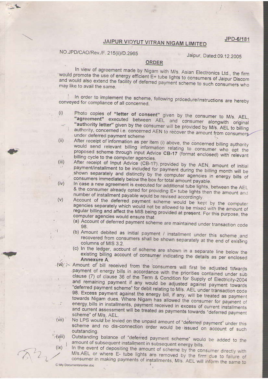JPD-6/181

## JAIPUR VIDYUT VITRAN NIGAM LIMITED

## NO.JPD/CAO/Rev./F. 215(ii)/D.2965

Jaipur, Dated:09.12.2005

## **ORDER**

In view of agreement made by Nigam with M/s. Asian Electronics Ltd., the firm would promote the use of energy efficient E+ tube lights to consumers of Jaipur Discom and would also extend the facility of deferred payment scheme to such consumers who may like to avail the same.

In order to implement the scheme, following procedure/instructions are hereby conveyed for compliance of all concerned.

- Photo copies of "letter of consent" given by the consumer to M/s. AEL,  $(i)$ "agreement" executed between AEL and consumer alongwith original "authority letter" given by the consumer will be provided by M/s. AEL to billing authority, concerned i.e. concerned AEN to recover the amount from consumers under deferred payment scheme  $(ii)$
- After receipt of information as per item (i) above, the concerned billing authority would send relevant billing information relating to consumer who opt the proposed scheme through input Advice CB-17 (format enclosed) with relevant billing cycle to the computer agencies.  $(iii)$
- After receipt of Input Advice (CB-17) provided by the AEN, amount of initial payment/installment to be included for payment during the billing month will be shown separately and distinctly by the computer agencies in energy bills of consumers immediately below the box for total amount payable.  $(iv)$
- In case a new agreement is executed for additional tube lights, between the AEL & the consumer already opted for providing E+ tube lights then the amount and number of installment payable would be revised accordingly.  $(v)$ 
	- Account of the deferred payment scheme would be kept by the computer agencies separately which would not be allowed to be mixed with the amount of regular billing and affect the MIS being provided at present. For this purpose, the computer agencies would ensure that
		- (a) Account of deferred payment scheme are maintained under transaction code 98.
		- (b) Amount debited as initial payment / installment under this scheme and recovered from consumers shall be shown separately at the end of existing columns of MIS 3.2.
		- (c) In the ledger, account of scheme are shown in a separate line below the existing billing account of consumer indicating the details as per enclosed Annexure A.
- Amount of bill received from the consumers will first be adjusted towards payment of energy bills in accordance with the priorities contained under sub clause (7) of clause 36 of the Term & Condition for Supply of Electricity-2004 and remaining payment if any would be adjusted against payment towards "deferred payment scheme" for debit relating to M/s. AEL under transaction code 98. Excess payment against the energy bill, if any, will be treated as payment towards Nigam dues. Where Nigam has allowed the consumer for payment of energy bills in installments, payment received in excess of current installments -7 and current assessment will be treated as payments towards "deferred payment scheme" of M/s. AEL.
- No LPS would be levied on the unpaid amount of "deferred payment" under this  $(vii)$ scheme and no dis-connection order would be issued on account of such outstanding.  $(yiii)$

Outstanding balance of "deferred payment scheme" would be added to the amount of subsequent installment in subsequent energy bills.

In the event of depositing the amount of scheme by the consumer directly with M/s.AEL or where E- tube lights are removed by the firm due to failure of consumer in making payments of installments, M/s. AEL will inform the same to

 $(ix)$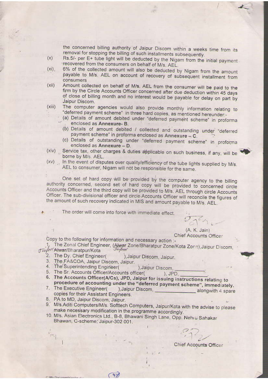the concerned billing authority of Jaipur Discom within a weeks time from its removal for stopping the billing of such installments subsequently.

- Rs.5/- per E+ tube light will be deducted by the Nigam from the initial payment  $(x)$ recovered from the consumers on behalf of M/s. AEL.
- 6% of the collected amount will also be deducted by Nigam from the amount  $(x_i)$ . payable to M/s. AEL on account of recovery of subsequent installment from consumers
- Amount collected on behalf of M/s. AEL from the consumer will be paid to the  $(xii)$ firm by the Circle Accounts Officer concerned after due deduction within 45 days of close of billing month and no interest would be payable for delay on part by Jaipur Discom.
- The computer agencies would also provide monthly information relating to  $(xiii)$ "deferred payment scheme" in three hard copies, as mentioned hereunder:-
	- (a) Details of amount debited under "deferred payment scheme" in proforma enclosed as Annexure- B.
	- (b) Details of amount debited / collected and outstanding under "deferred payment scheme" in proforma enclosed as Annexure - C.
	- (c) Details of outstanding under "deferred payment scheme" in proforma enclosed as Annexure - D.
- Service tax, other charges & duties applicable on such business, if any, will be  $(xiv)$ borne by M/s. AEL.
- (xv) In the event of disputes over quality/efficiency of the tube lights supplied by M/s. AEL to consumer, Nigam will not be responsible for the same.

One set of hard copy will be provided by the computer agency to the billing authority concerned, second set of hard copy will be provided to concerned circle Accounts Officer and the third copy will be provided to M/s. AEL through circle Accounts Officer. The sub-divisional officer and circle Accounts Officer will reconcile the figures of the amount of such recovery indicated in MIS and amount payable to M/s. AEL.

The order will come into force with immediate effect.

 $2721$ (A. K. Jain)

**Chief Accounts Officer** 

Copy to the following for information and necessary action :-

1. The Zonal Chief Engineer, (Alwar Zone/Bharatpur Zone/Kota Zone), Jaipur Discom, Jaym Alwar/Bharatpur/Kota

- 2. The Dy. Chief Engineer( ), Jaipur Discom, Jaipur.
- 3. The FA&COA, Jaipur Discom, Jaipur.
- 4. The Superintending Engineer( ), Jaipur Discom,
- 5. The Sr. Accounts Officer/Accounts officer(  $)$ , JPD.
- 6. The Accounts Officer(A/Cs), JPD, Jaipur for issuing instructions relating to procedure of accounting under the "deferred payment scheme", immediately.
- 7. The Executive Engineer( copies for their Assistant Engineers.
- 8. PA to MD, Jaipur Discom, Jaipur.

**C. Why Documentaly** 

- 9. M/s.Aditi Computers/M/s. Softtech Computers, Jaipur/Kota with the advise to please make necessary modification in the programme accordingly.
- 10. M/s. Asian Electronics Ltd., B-8, Bhawani Singh Lane, Opp. Nehru Sahakar Bhawan, C-scheme, Jaipur-302 001.

 $\frac{1}{2} \frac{1}{2} \frac{1}{2} \frac{1}{2} \frac{1}{2} \frac{1}{2} \frac{1}{2} \frac{1}{2} \frac{1}{2} \frac{1}{2} \frac{1}{2} \frac{1}{2} \frac{1}{2} \frac{1}{2} \frac{1}{2} \frac{1}{2} \frac{1}{2} \frac{1}{2} \frac{1}{2} \frac{1}{2} \frac{1}{2} \frac{1}{2} \frac{1}{2} \frac{1}{2} \frac{1}{2} \frac{1}{2} \frac{1}{2} \frac{1}{2} \frac{1}{2} \frac{1}{2} \frac{1}{2} \frac{$ 

 $(45)$ 

Chief Accounts Officer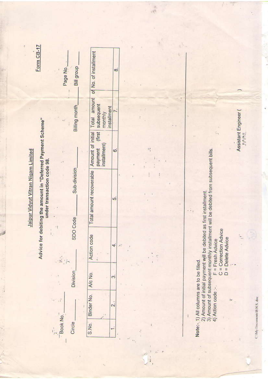| Form CB-17                                                                                                                      | Page No. | Bill group                                |                                                                                   | $\infty$                |  |
|---------------------------------------------------------------------------------------------------------------------------------|----------|-------------------------------------------|-----------------------------------------------------------------------------------|-------------------------|--|
| Advice for debiting the amount in "Deferred Payment Scheme"<br>Jaipur Vidyut Vitran Nigam Limited<br>under transaction code 98. |          | Billing month<br>Sub-division<br>SDO Code | (first subsequent<br>installment<br>monthly                                       |                         |  |
|                                                                                                                                 |          |                                           | installment)<br>payment                                                           | 6                       |  |
|                                                                                                                                 |          |                                           | Total amount recoverable   Amount of initial   Total amount of No. of installment | $\overline{5}$          |  |
|                                                                                                                                 |          |                                           | Action code<br>ă                                                                  |                         |  |
|                                                                                                                                 |          | <b>Division</b>                           | A/c No.                                                                           | S.                      |  |
|                                                                                                                                 |          |                                           | S.No. Binder No.                                                                  | $\overline{\mathbf{r}}$ |  |
|                                                                                                                                 | Book No. | Circle                                    |                                                                                   |                         |  |

 $\ddot{\cdot}$ 

 $\frac{1}{2}$ 

 $\ddot{i}$ 

 $\frac{12}{1}$ 

Note:- 1) All columns are to be filled.

 $\ddot{\ddot{\imath}}$ 

ï

 $\vec{r}_{\rm H}$ 

2) Amount of initial payment will be debited as first installment.<br>3) Amount of subsequent monthly installment will be debited from subsequent bills.<br>4) Action code :- F = Fresh Advice

C = Correction Advice<br>D = Delete Advice

'n

 $\frac{1}{1-x}$ 

Assistant Engineer (<br>JVVNL

ý.

C/My Documents B N S. doe